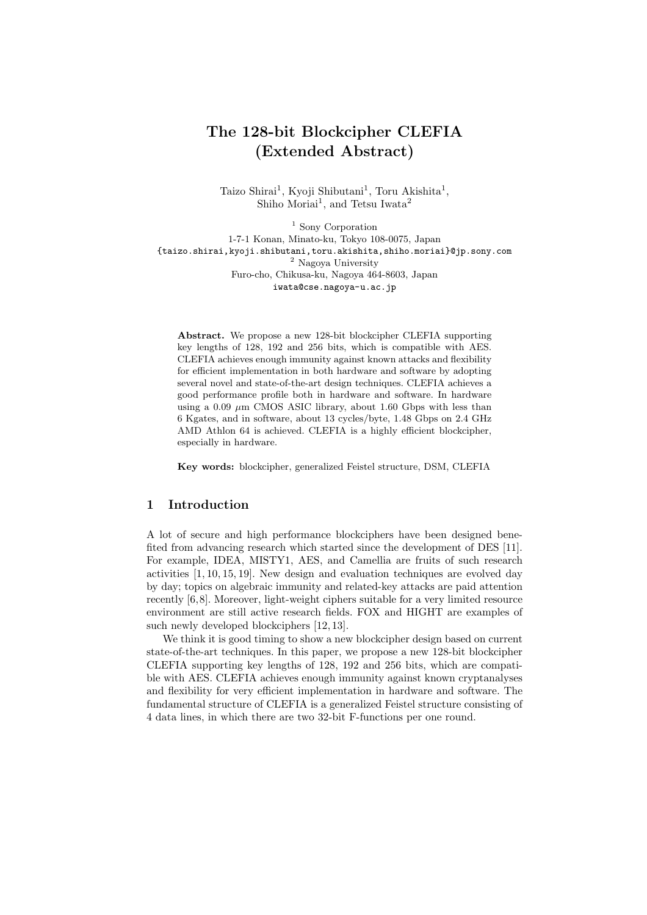## The 128-bit Blockcipher CLEFIA (Extended Abstract)

Taizo Shirai<sup>1</sup>, Kyoji Shibutani<sup>1</sup>, Toru Akishita<sup>1</sup>, Shiho Moriai<sup>1</sup>, and Tetsu Iwata<sup>2</sup>

<sup>1</sup> Sony Corporation 1-7-1 Konan, Minato-ku, Tokyo 108-0075, Japan {taizo.shirai,kyoji.shibutani,toru.akishita,shiho.moriai}@jp.sony.com  $^2$ Nagoya University Furo-cho, Chikusa-ku, Nagoya 464-8603, Japan iwata@cse.nagoya-u.ac.jp

Abstract. We propose a new 128-bit blockcipher CLEFIA supporting key lengths of 128, 192 and 256 bits, which is compatible with AES. CLEFIA achieves enough immunity against known attacks and flexibility for efficient implementation in both hardware and software by adopting several novel and state-of-the-art design techniques. CLEFIA achieves a good performance profile both in hardware and software. In hardware using a  $0.09 \mu m$  CMOS ASIC library, about 1.60 Gbps with less than 6 Kgates, and in software, about 13 cycles/byte, 1.48 Gbps on 2.4 GHz AMD Athlon 64 is achieved. CLEFIA is a highly efficient blockcipher, especially in hardware.

Key words: blockcipher, generalized Feistel structure, DSM, CLEFIA

## 1 Introduction

A lot of secure and high performance blockciphers have been designed benefited from advancing research which started since the development of DES [11]. For example, IDEA, MISTY1, AES, and Camellia are fruits of such research activities [1, 10, 15, 19]. New design and evaluation techniques are evolved day by day; topics on algebraic immunity and related-key attacks are paid attention recently [6,8]. Moreover, light-weight ciphers suitable for a very limited resource environment are still active research fields. FOX and HIGHT are examples of such newly developed blockciphers [12, 13].

We think it is good timing to show a new blockcipher design based on current state-of-the-art techniques. In this paper, we propose a new 128-bit blockcipher CLEFIA supporting key lengths of 128, 192 and 256 bits, which are compatible with AES. CLEFIA achieves enough immunity against known cryptanalyses and flexibility for very efficient implementation in hardware and software. The fundamental structure of CLEFIA is a generalized Feistel structure consisting of 4 data lines, in which there are two 32-bit F-functions per one round.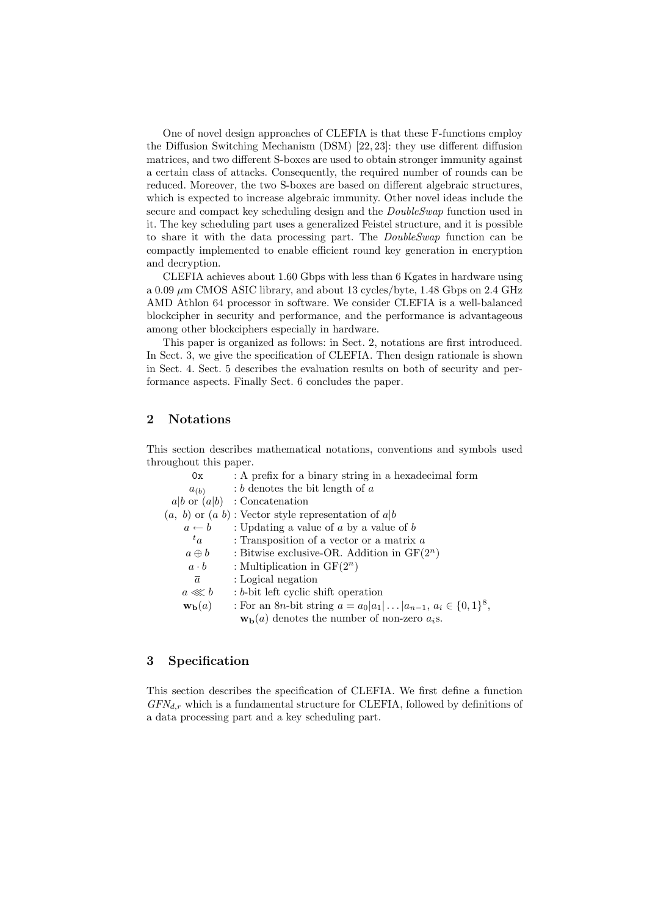One of novel design approaches of CLEFIA is that these F-functions employ the Diffusion Switching Mechanism (DSM) [22, 23]: they use different diffusion matrices, and two different S-boxes are used to obtain stronger immunity against a certain class of attacks. Consequently, the required number of rounds can be reduced. Moreover, the two S-boxes are based on different algebraic structures, which is expected to increase algebraic immunity. Other novel ideas include the secure and compact key scheduling design and the  $DoubleSwap$  function used in it. The key scheduling part uses a generalized Feistel structure, and it is possible to share it with the data processing part. The DoubleSwap function can be compactly implemented to enable efficient round key generation in encryption and decryption.

CLEFIA achieves about 1.60 Gbps with less than 6 Kgates in hardware using a 0.09  $\mu$ m CMOS ASIC library, and about 13 cycles/byte, 1.48 Gbps on 2.4 GHz AMD Athlon 64 processor in software. We consider CLEFIA is a well-balanced blockcipher in security and performance, and the performance is advantageous among other blockciphers especially in hardware.

This paper is organized as follows: in Sect. 2, notations are first introduced. In Sect. 3, we give the specification of CLEFIA. Then design rationale is shown in Sect. 4. Sect. 5 describes the evaluation results on both of security and performance aspects. Finally Sect. 6 concludes the paper.

## 2 Notations

This section describes mathematical notations, conventions and symbols used throughout this paper.

| 0x                         | : A prefix for a binary string in a hexadecimal form                                    |
|----------------------------|-----------------------------------------------------------------------------------------|
| $a_{(b)}$                  | $: b$ denotes the bit length of a                                                       |
|                            | $a b$ or $(a b)$ : Concatenation                                                        |
|                            | $(a, b)$ or $(a, b)$ : Vector style representation of $a b$                             |
| $a \leftarrow b$           | : Updating a value of $a$ by a value of $b$                                             |
| ${}^t a$                   | : Transposition of a vector or a matrix $a$                                             |
| $a \oplus b$               | : Bitwise exclusive-OR. Addition in $GF(2^n)$                                           |
| $a \cdot b$                | : Multiplication in $GF(2^n)$                                                           |
| $\overline{a}$             | : Logical negation                                                                      |
| $a \lll b$                 | : b-bit left cyclic shift operation                                                     |
| $\mathbf{w}_\mathbf{b}(a)$ | : For an 8 <i>n</i> -bit string $a = a_0   a_1   \dots   a_{n-1}, a_i \in \{0, 1\}^8$ , |
|                            | $\mathbf{w}_b(a)$ denotes the number of non-zero $a_i$ s.                               |

## 3 Specification

This section describes the specification of CLEFIA. We first define a function  $GFN_{d,r}$  which is a fundamental structure for CLEFIA, followed by definitions of a data processing part and a key scheduling part.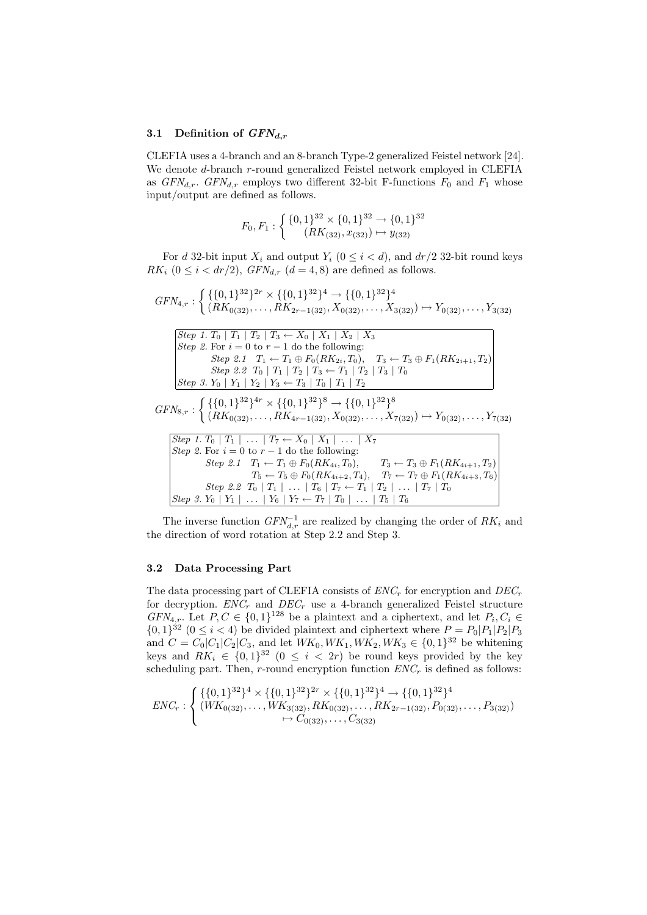#### 3.1 Definition of  $GFN_{d,r}$

CLEFIA uses a 4-branch and an 8-branch Type-2 generalized Feistel network [24]. We denote d-branch r-round generalized Feistel network employed in CLEFIA as  $GFN_{d,r}$ .  $GFN_{d,r}$  employs two different 32-bit F-functions  $F_0$  and  $F_1$  whose input/output are defined as follows.

$$
F_0, F_1: \left\{ \begin{array}{c} \{0,1\}^{32} \times \{0,1\}^{32} \rightarrow \{0,1\}^{32} \\ (RK_{(32)}, x_{(32)}) \mapsto y_{(32)} \end{array} \right.
$$

For d 32-bit input  $X_i$  and output  $Y_i$   $(0 \leq i < d)$ , and  $dr/2$  32-bit round keys  $RK_i$   $(0 \leq i < dr/2), \, GFN_{d,r}$   $(d = 4, 8)$  are defined as follows.

$$
GFN_{4,r}: \left\{ \{ (0,1)^{32} \}^{2r} \times \{ \{0,1\}^{32} \}^{4} \rightarrow \{ \{0,1\}^{32} \}^{4} \right\}
$$
\n
$$
GFN_{4,r}: \left\{ \{ (RK_{0(32)}, \ldots, RK_{2r-1(32)}, X_{0(32)}, \ldots, X_{3(32)}) \mapsto Y_{0(32)}, \ldots, Y_{3(32)}
$$
\n
$$
Step 1. T_{0} | T_{1} | T_{2} | T_{3} \leftarrow X_{0} | X_{1} | X_{2} | X_{3}
$$
\n
$$
Step 2. F \text{or } i = 0 \text{ to } r-1 \text{ do the following:}
$$
\n
$$
Step 2.1 T_{1} \leftarrow T_{1} \oplus F_{0}(RK_{2i}, T_{0}), T_{3} \leftarrow T_{3} \oplus F_{1}(RK_{2i+1}, T_{2})
$$
\n
$$
Step 2.2 T_{0} | T_{1} | T_{2} | T_{3} \leftarrow T_{1} | T_{2} | T_{3} | T_{0}
$$
\n
$$
Step 3. Y_{0} | Y_{1} | Y_{2} | Y_{3} \leftarrow T_{3} | T_{0} | T_{1} | T_{2}
$$
\n
$$
GFN_{8,r}: \left\{ \{ (0,1\}^{32} \}^{4r} \times \{ \{0,1\}^{32} \}^{8} \rightarrow \{ \{0,1\}^{32} \}^{8}
$$
\n
$$
Step 1. T_{0} | T_{1} | \ldots | T_{7} \leftarrow X_{0} | X_{1} | \ldots | X_{7}
$$
\n
$$
Step 2. For i = 0 \text{ to } r-1 \text{ do the following:}
$$
\n
$$
Step 2. Tr_{1} \leftarrow T_{1} \oplus F_{0}(RK_{4i}, T_{0}), T_{3} \leftarrow T_{3} \oplus F_{1}(RK_{4i+1}, T_{2})
$$
\n
$$
T_{5} \leftarrow T_{5} \oplus F_{0}(RK_{4i+2}, T_{4}), T_{7} \leftarrow T_{7} \oplus F_{1}(RK_{4i+3}, T_{6})
$$
\n
$$
Step 2.2 T_{0} | T_{1} | \ldots | T_{6}
$$

The inverse function  $GFN_{d,r}^{-1}$  are realized by changing the order of  $RK_i$  and the direction of word rotation at Step 2.2 and Step 3.

#### 3.2 Data Processing Part

The data processing part of CLEFIA consists of  $ENC<sub>r</sub>$  for encryption and  $DEC<sub>r</sub>$ for decryption.  $ENC_r$  and  $DEC_r$  use a 4-branch generalized Feistel structure  $GFN_{4,r}$ . Let  $P, C \in \{0,1\}^{128}$  be a plaintext and a ciphertext, and let  $P_i, C_i \in$  $\{0,1\}^{32}$   $(0 \leq i < 4)$  be divided plaintext and ciphertext where  $P = P_0|P_1|P_2|P_3$ and  $C = C_0 |C_1| C_2 |C_3$ , and let  $WK_0, WK_1, WK_2, WK_3 \in \{0, 1\}^{32}$  be whitening keys and  $RK_i \in \{0,1\}^{32}$   $(0 \leq i < 2r)$  be round keys provided by the key scheduling part. Then, r-round encryption function  $ENC<sub>r</sub>$  is defined as follows:

$$
ENC_r : \begin{cases} \{ \{0,1\}^{32} \}^4 \times \{ \{0,1\}^{32} \}^{2r} \times \{ \{0,1\}^{32} \}^4 \rightarrow \{ \{0,1\}^{32} \}^4 \\ (WK_{0(32)},\ldots, WK_{3(32)}, RK_{0(32)},\ldots, RK_{2r-1(32)}, P_{0(32)},\ldots, P_{3(32)}) \\ \mapsto C_{0(32)},\ldots, C_{3(32)} \end{cases}
$$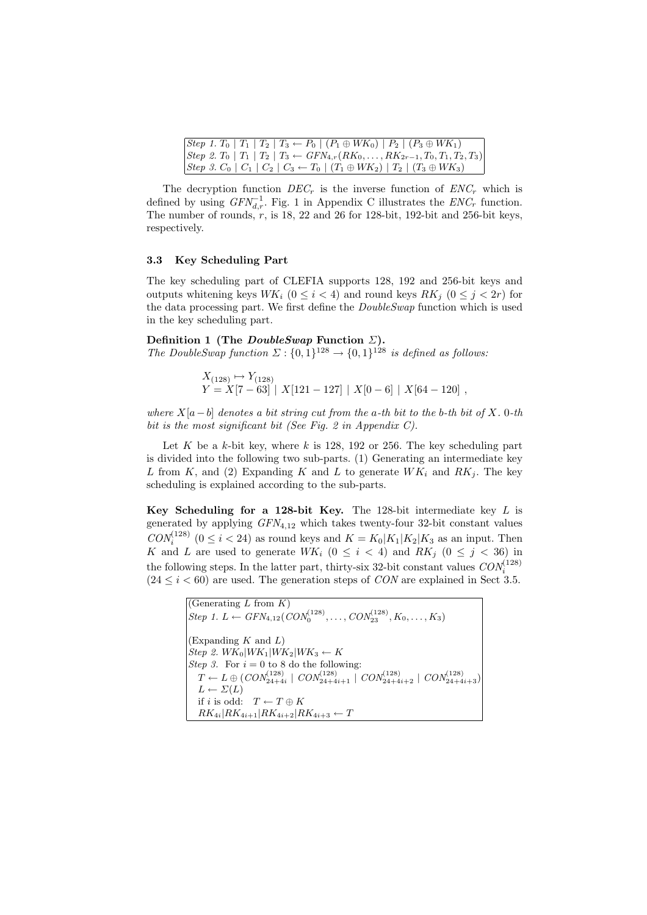| $ Step 1. T_0   T_1   T_2   T_3 \leftarrow P_0   (P_1 \oplus WK_0)   P_2   (P_3 \oplus WK_1)$      |
|----------------------------------------------------------------------------------------------------|
| $ Step 2. T_0   T_1   T_2   T_3 \leftarrow GFN_{4,r}(RK_0, \ldots, RK_{2r-1}, T_0, T_1, T_2, T_3)$ |
| $ Step 3. C_0   C_1   C_2   C_3 \leftarrow T_0   (T_1 \oplus WK_2)   T_2   (T_3 \oplus WK_3)$      |

The decryption function  $DEC<sub>r</sub>$  is the inverse function of  $ENC<sub>r</sub>$  which is defined by using  $GFN_{d,r}^{-1}$ . Fig. 1 in Appendix C illustrates the  $ENC_r$  function. The number of rounds,  $r$ , is 18, 22 and 26 for 128-bit, 192-bit and 256-bit keys, respectively.

## 3.3 Key Scheduling Part

The key scheduling part of CLEFIA supports 128, 192 and 256-bit keys and outputs whitening keys  $WK_i$  ( $0 \leq i < 4$ ) and round keys  $RK_i$  ( $0 \leq j < 2r$ ) for the data processing part. We first define the DoubleSwap function which is used in the key scheduling part.

Definition 1 (The  $DoubleSwap$  Function  $\Sigma$ ). The DoubleSwap function  $\Sigma: \{0,1\}^{128} \to \{0,1\}^{128}$  is defined as follows:

$$
\begin{aligned} X_{(128)} &\mapsto Y_{(128)}\\ Y &= X[7-63] \mid X[121-127] \mid X[0-6] \mid X[64-120] \end{aligned}
$$

where  $X[a-b]$  denotes a bit string cut from the a-th bit to the b-th bit of X. 0-th bit is the most significant bit (See Fig. 2 in Appendix C).

Let K be a k-bit key, where k is 128, 192 or 256. The key scheduling part is divided into the following two sub-parts. (1) Generating an intermediate key L from K, and (2) Expanding K and L to generate  $WK_i$  and  $RK_i$ . The key scheduling is explained according to the sub-parts.

Key Scheduling for a 128-bit Key. The 128-bit intermediate key  $L$  is generated by applying  $GFN_{4,12}$  which takes twenty-four 32-bit constant values  $CON_i^{(128)}$   $(0 \le i < 24)$  as round keys and  $K = K_0|K_1|K_2|K_3$  as an input. Then K and L are used to generate  $WK_i$   $(0 \le i \le 4)$  and  $RK_j$   $(0 \le j \le 36)$  in the following steps. In the latter part, thirty-six 32-bit constant values  $CON_i^{(128)}$  $(24 \le i \le 60)$  are used. The generation steps of *CON* are explained in Sect 3.5.

> (Generating  $L$  from  $K$ )  $Step 1. L \leftarrow GFN_{4,12}(CON_0^{(128)}, \ldots, CON_{23}^{(128)}, K_0, \ldots, K_3)$ (Expanding  $K$  and  $L$ )  $Step 2. WK<sub>0</sub>|WK<sub>1</sub>|WK<sub>2</sub>|WK<sub>3</sub> \leftarrow K$ Step 3. For  $i = 0$  to 8 do the following:  $T \leftarrow L \oplus (CON_{24+4i}^{(128)} \mid CON_{24+4i+1}^{(128)} \mid CON_{24+4i+2}^{(128)} \mid CON_{24+4i+3}^{(128)})$  $L \leftarrow \Sigma(L)$ if i is odd:  $T \leftarrow T \oplus K$  $RK_{4i}|RK_{4i+1}|RK_{4i+2}|RK_{4i+3} \leftarrow T$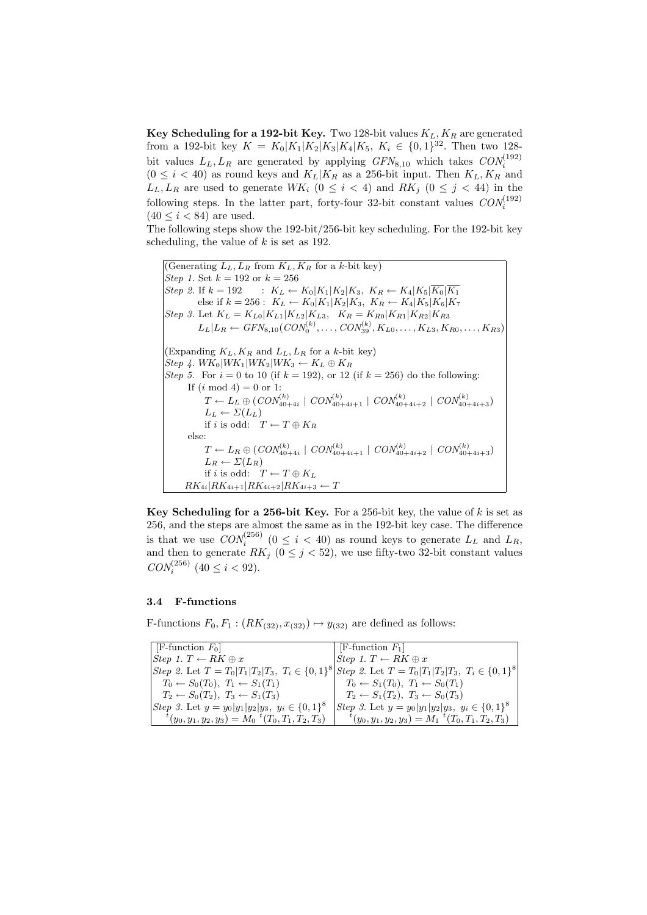Key Scheduling for a 192-bit Key. Two 128-bit values  $K_L, K_R$  are generated from a 192-bit key  $K = K_0|K_1|K_2|K_3|K_4|K_5$ ,  $K_i \in \{0,1\}^{32}$ . Then two 128bit values  $L_L, L_R$  are generated by applying  $GFN_{8,10}$  which takes  $CON_i^{(192)}$  $(0 \leq i < 40)$  as round keys and  $K_L|K_R$  as a 256-bit input. Then  $K_L, K_R$  and  $L_L, L_R$  are used to generate  $WK_i$  ( $0 \leq i \leq 4$ ) and  $RK_j$  ( $0 \leq j \leq 44$ ) in the following steps. In the latter part, forty-four 32-bit constant values  $CON_i^{(192)}$  $(40 \le i \le 84)$  are used.

The following steps show the 192-bit/256-bit key scheduling. For the 192-bit key scheduling, the value of  $k$  is set as 192.

(Generating  $L_L, L_R$  from  $K_L, K_R$  for a k-bit key) *Step 1.* Set  $k = 192$  or  $k = 256$ Step 2. If  $k = 192$  :  $K_L \leftarrow K_0 |K_1| K_2 |K_3, K_R \leftarrow K_4 |K_5| \overline{K_0} |K_1|$ else if  $k = 256$ :  $K_L \leftarrow K_0 |K_1| K_2 |K_3$ ,  $K_R \leftarrow K_4 |K_5| K_6 |K_7$ Step 3. Let  $K_L = K_{L0} |K_{L1}| K_{L2} |K_{L3}$ ,  $K_R = K_{R0} |K_{R1}| K_{R2} |K_{R3}$  $L_L|L_R \leftarrow GFN_{8,10}(CON_0^{(k)}, \ldots, CON_{39}^{(k)}, K_{L0}, \ldots, K_{L3}, K_{R0}, \ldots, K_{R3})$ (Expanding  $K_L, K_R$  and  $L_L, L_R$  for a k-bit key)  $Step 4. WK_0|WK_1|WK_2|WK_3 \leftarrow K_L \oplus K_R$ Step 5. For  $i = 0$  to 10 (if  $k = 192$ ), or 12 (if  $k = 256$ ) do the following: If  $(i \mod 4) = 0$  or 1:  $T \leftarrow L_L \oplus (CON_{40+4i}^{(k)} \mid CON_{40+4i+1}^{(k)} \mid CON_{40+4i+2}^{(k)} \mid CON_{40+4i+3}^{(k)})$  $L_L \leftarrow \Sigma(L_L)$ if i is odd:  $T \leftarrow T \oplus K_R$ else:  $T \leftarrow L_R \oplus (CON_{40+4i}^{(k)} \mid CON_{40+4i+1}^{(k)} \mid CON_{40+4i+2}^{(k)} \mid CON_{40+4i+3}^{(k)})$  $L_R \leftarrow \Sigma(L_R)$ if i is odd:  $T \leftarrow T \oplus K_L$  $RK_{4i}|RK_{4i+1}|RK_{4i+2}|RK_{4i+3} \leftarrow T$ 

Key Scheduling for a 256-bit Key. For a 256-bit key, the value of  $k$  is set as 256, and the steps are almost the same as in the 192-bit key case. The difference is that we use  $CON_i^{(256)}$   $(0 \le i < 40)$  as round keys to generate  $L_L$  and  $L_R$ , and then to generate  $RK_j$   $(0 \leq j < 52)$ , we use fifty-two 32-bit constant values  $CON_i^{(256)}$  (40  $\leq i < 92$ ).

### 3.4 F-functions

F-functions  $F_0, F_1 : (RK_{(32)}, x_{(32)}) \mapsto y_{(32)}$  are defined as follows:

| $F$ -function $F_0$                                                | $ F\text{-function } F_1 $                                                                                                    |
|--------------------------------------------------------------------|-------------------------------------------------------------------------------------------------------------------------------|
| Step 1. $T \leftarrow RK \oplus x$                                 | Step 1. $T \leftarrow RK \oplus x$                                                                                            |
|                                                                    | <i>Step 2.</i> Let $T = T_0  T_1  T_2  T_3, T_i \in \{0,1\}^8$ <i>Step 2.</i> Let $T = T_0  T_1  T_2  T_3, T_i \in \{0,1\}^8$ |
| $T_0 \leftarrow S_0(T_0), T_1 \leftarrow S_1(T_1)$                 | $T_0 \leftarrow S_1(T_0), T_1 \leftarrow S_0(T_1)$                                                                            |
| $T_2 \leftarrow S_0(T_2), T_3 \leftarrow S_1(T_3)$                 | $T_2 \leftarrow S_1(T_2), T_3 \leftarrow S_0(T_3)$                                                                            |
| <i>Step 3.</i> Let $y = y_0  y_1   y_2   y_3 , y_i \in \{0, 1\}^8$ | <i>Step 3.</i> Let $y = y_0 y_1 y_2 y_3, y_i \in \{0,1\}^8$                                                                   |
| $f(y_0, y_1, y_2, y_3) = M_0^{-t}(T_0, T_1, T_2, T_3).$            | $t(y_0, y_1, y_2, y_3) = M_1 \, t(T_0, T_1, T_2, T_3)$                                                                        |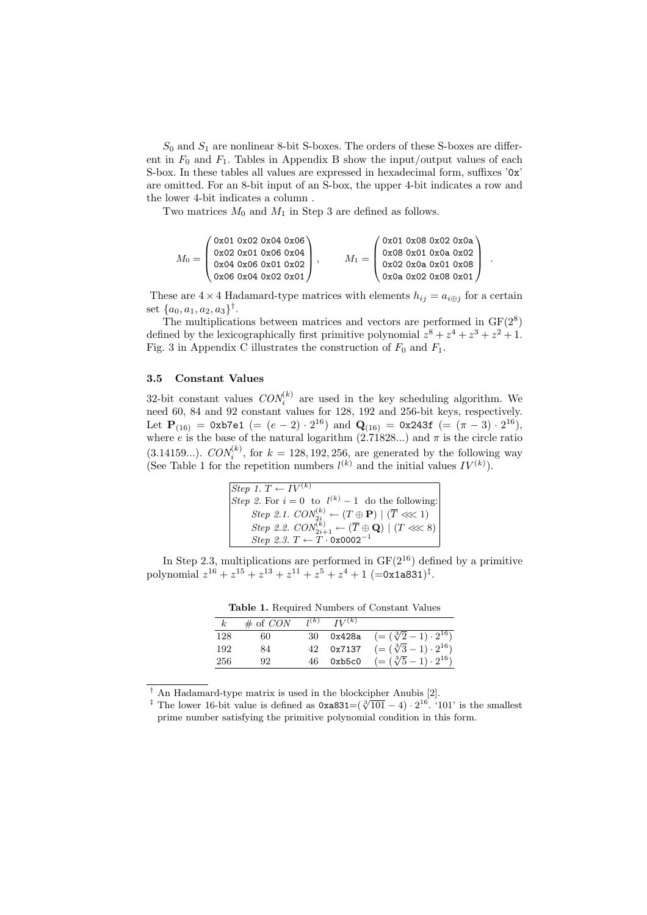$S_0$  and  $S_1$  are nonlinear 8-bit S-boxes. The orders of these S-boxes are different in  $F_0$  and  $F_1$ . Tables in Appendix B show the input/output values of each S-box. In these tables all values are expressed in hexadecimal form, suffixes '0x' are omitted. For an 8-bit input of an S-box, the upper 4-bit indicates a row and the lower 4-bit indicates a column .

Two matrices  $M_0$  and  $M_1$  in Step 3 are defined as follows.

$$
M_0 = \left(\begin{matrix} 0 \texttt{x01} & 0 \texttt{x02} & 0 \texttt{x04} & 0 \texttt{x06} \\ 0 \texttt{x02} & 0 \texttt{x01} & 0 \texttt{x06} & 0 \texttt{x04} \\ 0 \texttt{x04} & 0 \texttt{x06} & 0 \texttt{x01} & 0 \texttt{x02} \\ 0 \texttt{x06} & 0 \texttt{x04} & 0 \texttt{x02} & 0 \texttt{x01} \end{matrix}\right), \qquad M_1 = \left(\begin{matrix} 0 \texttt{x01} & 0 \texttt{x08} & 0 \texttt{x02} & 0 \texttt{x0a} \\ 0 \texttt{x08} & 0 \texttt{x01} & 0 \texttt{x0a} & 0 \texttt{x02} \\ 0 \texttt{x01} & 0 \texttt{x0a} & 0 \texttt{x01} & 0 \texttt{x08} \\ 0 \texttt{x0a} & 0 \texttt{x02} & 0 \texttt{x03} & 0 \texttt{x01} \end{matrix}\right) \ .
$$

These are  $4 \times 4$  Hadamard-type matrices with elements  $h_{ij} = a_{i \oplus j}$  for a certain set  $\{a_0, a_1, a_2, a_3\}^{\dagger}$ .

The multiplications between matrices and vectors are performed in  $GF(2<sup>8</sup>)$ defined by the lexicographically first primitive polynomial  $z^8 + z^4 + z^3 + z^2 + 1$ . Fig. 3 in Appendix C illustrates the construction of  $F_0$  and  $F_1$ .

#### 3.5 Constant Values

32-bit constant values  $CON_i^{(k)}$  are used in the key scheduling algorithm. We need 60, 84 and 92 constant values for 128, 192 and 256-bit keys, respectively. Let  $\mathbf{P}_{(16)} = 0$ xb7e1 (=  $(e-2) \cdot 2^{16}$ ) and  $\mathbf{Q}_{(16)} = 0$ x243f (=  $(\pi - 3) \cdot 2^{16}$ ), where e is the base of the natural logarithm  $(2.71828...)$  and  $\pi$  is the circle ratio (3.14159...).  $CON_i^{(k)}$ , for  $k = 128, 192, 256$ , are generated by the following way (See Table 1 for the repetition numbers  $l^{(k)}$  and the initial values  $IV^{(k)}$ ).

| Step 1. $T \leftarrow \overline{IV^{(k)}}$                                                  |
|---------------------------------------------------------------------------------------------|
| Step 2. For $i = 0$ to $l^{(k)} - 1$ do the following:                                      |
| <i>Step 2.1.</i> $CON_{2i}^{(k)} \leftarrow (T \oplus P)   (\overline{T} \lll 1)$           |
| Step 2.2. $CON^{(k)}_{2i+1} \leftarrow (\overline{T} \oplus \mathbf{Q}) \mid (T \ll \lt 8)$ |
| Step 2.3. $T \leftarrow T \cdot 0x0002^{-1}$                                                |

In Step 2.3, multiplications are performed in  $GF(2^{16})$  defined by a primitive polynomial  $z^{16} + z^{15} + z^{13} + z^{11} + z^5 + z^4 + 1$  (=0x1a831)<sup>‡</sup>.

Table 1. Required Numbers of Constant Values

| $\kappa$ | $\#$ of CON | $I^{(k)}$ $IV^{(k)}$ |                                              |
|----------|-------------|----------------------|----------------------------------------------|
| 128      | 60          |                      | 30 0x428a $(=(\sqrt[3]{2}-1)\cdot 2^{16})$   |
| 192      | 84          |                      | 42 $0x7137 = (\sqrt[3]{3} - 1) \cdot 2^{16}$ |
| -256     | 92          |                      | 46 0xb5c0 $(=(\sqrt[3]{5}-1)\cdot 2^{16})$   |

† An Hadamard-type matrix is used in the blockcipher Anubis [2].

<sup>&</sup>lt;sup>†</sup> The lower 16-bit value is defined as  $0xa831=(\sqrt[3]{101}-4) \cdot 2^{16}$ . '101' is the smallest prime number satisfying the primitive polynomial condition in this form.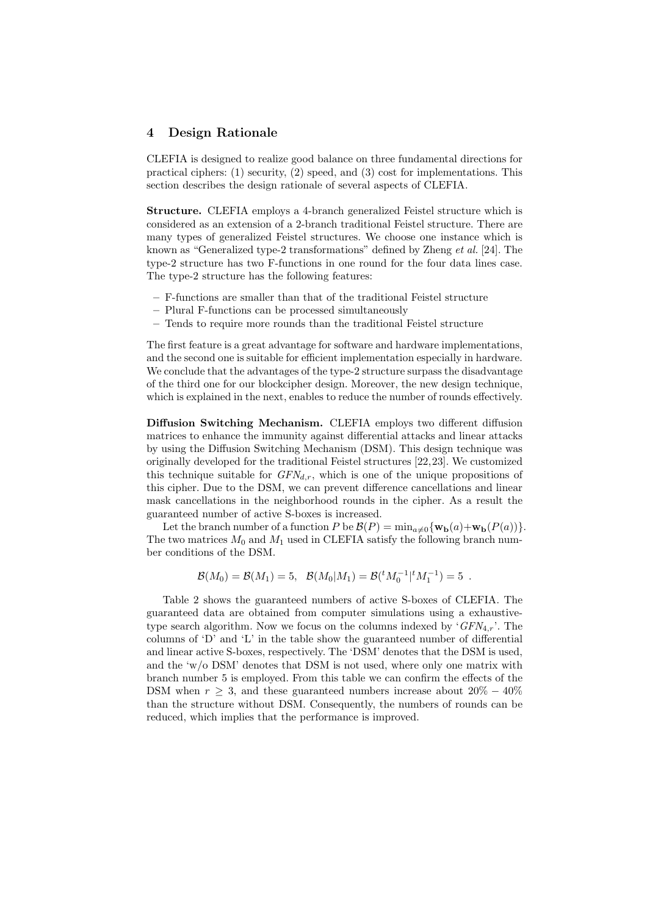## 4 Design Rationale

CLEFIA is designed to realize good balance on three fundamental directions for practical ciphers: (1) security, (2) speed, and (3) cost for implementations. This section describes the design rationale of several aspects of CLEFIA.

Structure. CLEFIA employs a 4-branch generalized Feistel structure which is considered as an extension of a 2-branch traditional Feistel structure. There are many types of generalized Feistel structures. We choose one instance which is known as "Generalized type-2 transformations" defined by Zheng et al. [24]. The type-2 structure has two F-functions in one round for the four data lines case. The type-2 structure has the following features:

- F-functions are smaller than that of the traditional Feistel structure
- Plural F-functions can be processed simultaneously
- Tends to require more rounds than the traditional Feistel structure

The first feature is a great advantage for software and hardware implementations, and the second one is suitable for efficient implementation especially in hardware. We conclude that the advantages of the type-2 structure surpass the disadvantage of the third one for our blockcipher design. Moreover, the new design technique, which is explained in the next, enables to reduce the number of rounds effectively.

Diffusion Switching Mechanism. CLEFIA employs two different diffusion matrices to enhance the immunity against differential attacks and linear attacks by using the Diffusion Switching Mechanism (DSM). This design technique was originally developed for the traditional Feistel structures [22,23]. We customized this technique suitable for  $GFN_{d,r}$ , which is one of the unique propositions of this cipher. Due to the DSM, we can prevent difference cancellations and linear mask cancellations in the neighborhood rounds in the cipher. As a result the guaranteed number of active S-boxes is increased.

Let the branch number of a function P be  $\mathcal{B}(P) = \min_{a \neq 0} \{ \mathbf{w_b}(a) + \mathbf{w_b}(P(a)) \}.$ The two matrices  $M_0$  and  $M_1$  used in CLEFIA satisfy the following branch number conditions of the DSM.

$$
\mathcal{B}(M_0) = \mathcal{B}(M_1) = 5, \ \ \mathcal{B}(M_0|M_1) = \mathcal{B}({}^tM_0^{-1}|{}^tM_1^{-1}) = 5.
$$

Table 2 shows the guaranteed numbers of active S-boxes of CLEFIA. The guaranteed data are obtained from computer simulations using a exhaustivetype search algorithm. Now we focus on the columns indexed by ' $GFN_{4,r}$ '. The columns of 'D' and 'L' in the table show the guaranteed number of differential and linear active S-boxes, respectively. The 'DSM' denotes that the DSM is used, and the 'w/o DSM' denotes that DSM is not used, where only one matrix with branch number 5 is employed. From this table we can confirm the effects of the DSM when  $r \geq 3$ , and these guaranteed numbers increase about  $20\% - 40\%$ than the structure without DSM. Consequently, the numbers of rounds can be reduced, which implies that the performance is improved.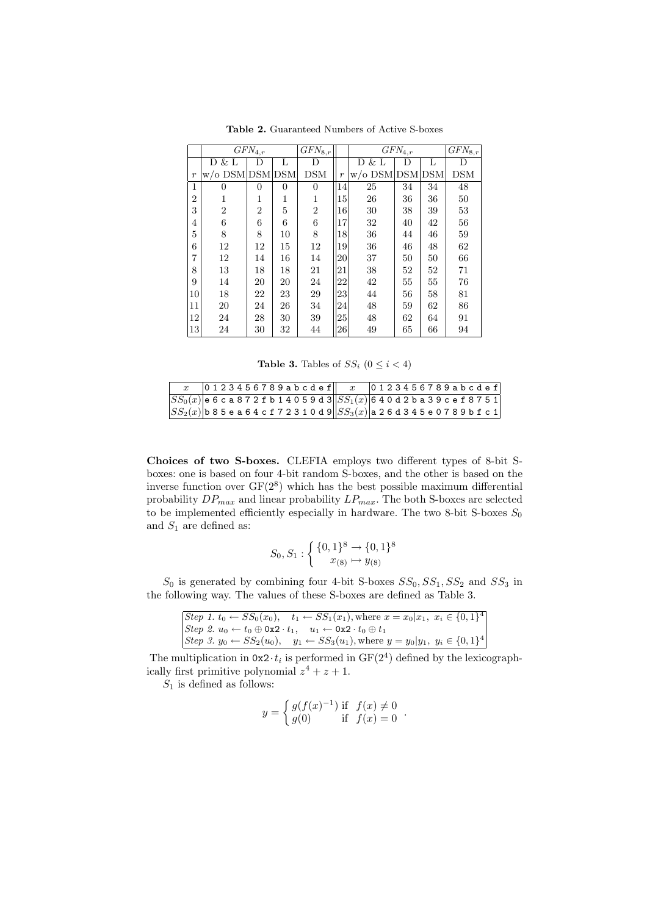|                  |                 | $GFN_{4,r}$    |          | $GFN_{8,r}$    |                  |                 | $\overline{GFN}_{4,r}$ |    | $GFN_{8,r}$ |
|------------------|-----------------|----------------|----------|----------------|------------------|-----------------|------------------------|----|-------------|
|                  | D & L           | D              | L        | D              |                  | $&$ L<br>D      | D                      | L  | D           |
| $\boldsymbol{r}$ | w/o DSM DSM DSM |                |          | <b>DSM</b>     | $\boldsymbol{r}$ | w/o DSM DSM DSM |                        |    | <b>DSM</b>  |
| 1                | $\overline{0}$  | 0              | $\Omega$ | $\Omega$       | 14               | 25              | 34                     | 34 | 48          |
| $\overline{2}$   | 1               | 1              | 1        | 1              | 15               | 26              | 36                     | 36 | 50          |
| 3                | $\overline{2}$  | $\overline{2}$ | 5        | $\overline{2}$ | 16               | 30              | 38                     | 39 | 53          |
| 4                | 6               | 6              | 6        | 6              | 17               | 32              | 40                     | 42 | 56          |
| 5                | 8               | 8              | 10       | 8              | 18               | 36              | 44                     | 46 | 59          |
| 6                | 12              | 12             | 15       | 12             | 19               | 36              | 46                     | 48 | 62          |
| 7                | 12              | 14             | 16       | 14             | 20               | 37              | 50                     | 50 | 66          |
| 8                | 13              | 18             | 18       | 21             | 21               | 38              | 52                     | 52 | 71          |
| 9                | 14              | 20             | 20       | 24             | 22               | 42              | 55                     | 55 | 76          |
| 10               | 18              | 22             | 23       | 29             | 23               | 44              | 56                     | 58 | 81          |
| 11               | 20              | 24             | 26       | 34             | 24               | 48              | 59                     | 62 | 86          |
| 12               | 24              | 28             | 30       | 39             | 25               | 48              | 62                     | 64 | 91          |
| 13               | 24              | 30             | 32       | 44             | 26               | 49              | 65                     | 66 | 94          |

Table 2. Guaranteed Numbers of Active S-boxes

Table 3. Tables of  $SS_i$   $(0 \leq i < 4)$ 

|  |  |  |  |  |  |  |  |  | $ 0123456789abcdef   x   0123456789abcdef$                                                          |  |  |  |  |  |  |  |  |
|--|--|--|--|--|--|--|--|--|-----------------------------------------------------------------------------------------------------|--|--|--|--|--|--|--|--|
|  |  |  |  |  |  |  |  |  | $\boxed{SS_0(x)}$ e 6 c a 8 7 2 f b 1 4 0 5 9 d 3 $\boxed{SS_1(x)}$ 6 4 0 d 2 b a 3 9 c e f 8 7 5 1 |  |  |  |  |  |  |  |  |
|  |  |  |  |  |  |  |  |  | $ SS_2(x) $ b 8 5 e a 6 4 c f 7 2 3 1 0 d 9 $  SS_3(x) $ a 2 6 d 3 4 5 e 0 7 8 9 b f c 1            |  |  |  |  |  |  |  |  |

Choices of two S-boxes. CLEFIA employs two different types of 8-bit Sboxes: one is based on four 4-bit random S-boxes, and the other is based on the inverse function over  $GF(2^8)$  which has the best possible maximum differential probability  $DP_{max}$  and linear probability  $LP_{max}.$  The both S-boxes are selected to be implemented efficiently especially in hardware. The two 8-bit S-boxes  $S_0$ and  $S_1$  are defined as:

$$
S_0, S_1: \left\{ \begin{array}{l} \{0,1\}^8 \to \{0,1\}^8 \\ x_{(8)} \mapsto y_{(8)} \end{array} \right.
$$

 $S_0$  is generated by combining four 4-bit S-boxes  $SS_0, SS_1, SS_2$  and  $SS_3$  in the following way. The values of these S-boxes are defined as Table 3.

|  | Step 1. $t_0 \leftarrow SS_0(x_0)$ , $t_1 \leftarrow SS_1(x_1)$ , where $x = x_0   x_1, x_i \in \{0, 1\}^4$ |  |
|--|-------------------------------------------------------------------------------------------------------------|--|
|  | $[Step 2. u_0 \leftarrow t_0 \oplus 0x2 \cdot t_1, u_1 \leftarrow 0x2 \cdot t_0 \oplus t_1]$                |  |
|  | Step 3. $y_0 \leftarrow SS_2(u_0)$ , $y_1 \leftarrow SS_3(u_1)$ , where $y = y_0 y_1, y_i \in \{0, 1\}^4$   |  |

The multiplication in  $0x2 \cdot t_i$  is performed in  $GF(2^4)$  defined by the lexicographically first primitive polynomial  $z^4 + z + 1$ .

 $S_1$  is defined as follows:

$$
y = \begin{cases} g(f(x)^{-1}) & \text{if } f(x) \neq 0 \\ g(0) & \text{if } f(x) = 0 \end{cases}.
$$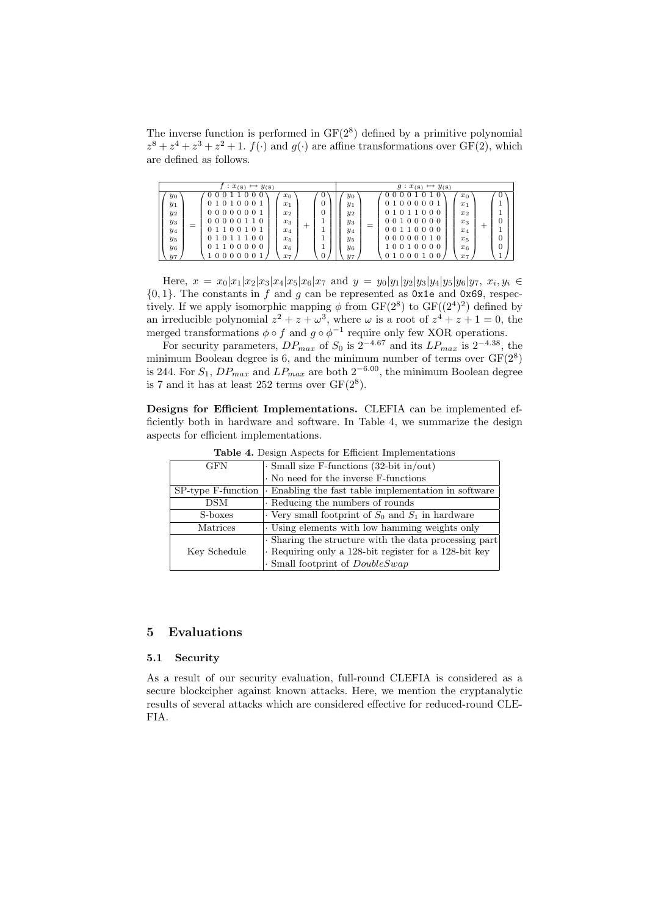The inverse function is performed in  $GF(2^8)$  defined by a primitive polynomial  $z^{8} + z^{4} + z^{3} + z^{2} + 1$ .  $f(\cdot)$  and  $g(\cdot)$  are affine transformations over GF(2), which are defined as follows.

| $x_{(8)}$<br>$y_{(8)}$ | $y_{(8)}$<br>$x_{(8)}$<br>q: |
|------------------------|------------------------------|
| 0                      | 0                            |
| 00                     | $\theta$                     |
| O                      | 0                            |
| $x_0$                  | 01                           |
| $y_0$                  | $x_0$                        |
| 01010001               | $y_0$                        |
| 0                      | 1000001                      |
| $x_1$                  | $x_1$                        |
| $y_1$                  | $y_1$                        |
| 00000001               | 01011000                     |
| O                      | $x_2$                        |
| $x_2$                  | $y_2$                        |
| $y_2$                  | $\Omega$                     |
| 000001                 | 00000                        |
| 10                     | $\Omega$                     |
| $x_3$                  | $x_3$                        |
| $y_3$                  | $y_3$                        |
| _                      | _                            |
| ÷                      | ┭                            |
|                        |                              |
| 1100101                | 10000                        |
| $^{(1)}$               | $x_4$                        |
| $x_4$                  | $\overline{y_4}$             |
| $y_4$                  | 0                            |
| 0 1 0 1 1 1 0 0        | 000010                       |
| $x_{5}$                | $x_{5}$                      |
| $y_5$                  | $y_{5}$                      |
| 01100000               | 0                            |
| $x_{6}$                | 010000                       |
| $y_6$                  | x <sub>6</sub>               |
| 000                    | $y_6$                        |
| 0                      | 0 <sub>0</sub>               |
| $\overline{0}$         | 0                            |
| 0                      | 0                            |
| $x_7$                  | $x_7$                        |
| $y_7$                  | $y_7$                        |

Here,  $x = x_0|x_1|x_2|x_3|x_4|x_5|x_6|x_7$  and  $y = y_0|y_1|y_2|y_3|y_4|y_5|y_6|y_7, x_i, y_i \in$  ${0, 1}$ . The constants in f and g can be represented as 0x1e and 0x69, respectively. If we apply isomorphic mapping  $\phi$  from GF( $2^8$ ) to GF( $(2^4)^2$ ) defined by an irreducible polynomial  $z^2 + z + \omega^3$ , where  $\omega$  is a root of  $z^4 + z + 1 = 0$ , the merged transformations  $\phi \circ f$  and  $g \circ \phi^{-1}$  require only few XOR operations.

For security parameters,  $DP_{max}$  of  $S_0$  is  $2^{-4.67}$  and its  $LP_{max}$  is  $2^{-4.38}$ , the minimum Boolean degree is 6, and the minimum number of terms over  $GF(2^8)$ is 244. For  $S_1$ ,  $DP_{max}$  and  $LP_{max}$  are both  $2^{-6.00}$ , the minimum Boolean degree is 7 and it has at least 252 terms over  $GF(2^8)$ .

Designs for Efficient Implementations. CLEFIA can be implemented efficiently both in hardware and software. In Table 4, we summarize the design aspects for efficient implementations.

| <b>GFN</b>         | $\cdot$ Small size F-functions (32-bit in/out)        |
|--------------------|-------------------------------------------------------|
|                    | No need for the inverse F-functions                   |
| SP-type F-function | . Enabling the fast table implementation in software  |
| <b>DSM</b>         | Reducing the numbers of rounds                        |
| S-boxes            | Very small footprint of $S_0$ and $S_1$ in hardware   |
| Matrices           | . Using elements with low hamming weights only        |
|                    | . Sharing the structure with the data processing part |
| Key Schedule       | Requiring only a 128-bit register for a 128-bit key   |
|                    | $\cdot$ Small footprint of $DoubleSwap$               |

Table 4. Design Aspects for Efficient Implementations

#### 5 Evaluations

#### 5.1 Security

As a result of our security evaluation, full-round CLEFIA is considered as a secure blockcipher against known attacks. Here, we mention the cryptanalytic results of several attacks which are considered effective for reduced-round CLE-FIA.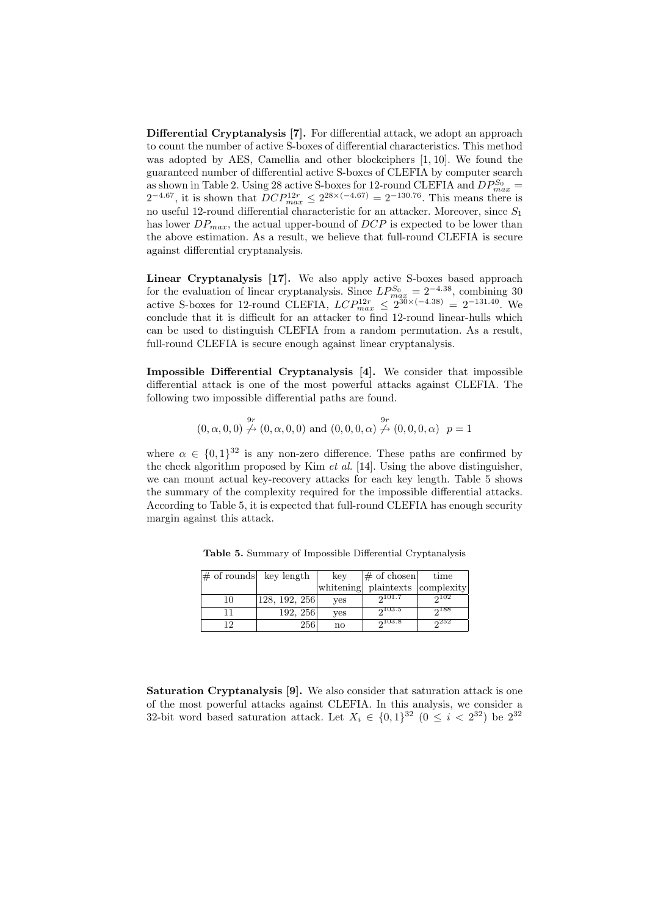Differential Cryptanalysis [7]. For differential attack, we adopt an approach to count the number of active S-boxes of differential characteristics. This method was adopted by AES, Camellia and other blockciphers [1, 10]. We found the guaranteed number of differential active S-boxes of CLEFIA by computer search as shown in Table 2. Using 28 active S-boxes for 12-round CLEFIA and  $DP_{max}^{S_0}$  =  $2^{-4.67}$ , it is shown that  $DCP_{max}^{12r} \leq 2^{28 \times (-4.67)} = 2^{-130.76}$ . This means there is no useful 12-round differential characteristic for an attacker. Moreover, since  $S_1$ has lower  $DP_{max}$ , the actual upper-bound of  $DCP$  is expected to be lower than the above estimation. As a result, we believe that full-round CLEFIA is secure against differential cryptanalysis.

Linear Cryptanalysis [17]. We also apply active S-boxes based approach for the evaluation of linear cryptanalysis. Since  $LP_{max}^{S_0} = 2^{-4.38}$ , combining 30 active S-boxes for 12-round CLEFIA,  $LCP_{max}^{12r} \leq 2^{30 \times (-4.38)} = 2^{-131.40}$ . We conclude that it is difficult for an attacker to find 12-round linear-hulls which can be used to distinguish CLEFIA from a random permutation. As a result, full-round CLEFIA is secure enough against linear cryptanalysis.

Impossible Differential Cryptanalysis [4]. We consider that impossible differential attack is one of the most powerful attacks against CLEFIA. The following two impossible differential paths are found.

$$
(0, \alpha, 0, 0) \stackrel{9r}{\nrightarrow} (0, \alpha, 0, 0)
$$
 and  $(0, 0, 0, \alpha) \stackrel{9r}{\nrightarrow} (0, 0, 0, \alpha)$   $p = 1$ 

where  $\alpha \in \{0,1\}^{32}$  is any non-zero difference. These paths are confirmed by the check algorithm proposed by Kim  $et$  al. [14]. Using the above distinguisher, we can mount actual key-recovery attacks for each key length. Table 5 shows the summary of the complexity required for the impossible differential attacks. According to Table 5, it is expected that full-round CLEFIA has enough security margin against this attack.

| $\#$ of rounds key length |               | key       | $ \#$ of chosen       | time |
|---------------------------|---------------|-----------|-----------------------|------|
|                           |               | whitening | plaintexts complexity |      |
| 10                        | 128, 192, 256 | ves       | 2101.7                | 2102 |
|                           | 192, 256      | yes       | 2103.5                | 2188 |
| 12                        | 256           | no        | 2103.8                | 252  |

Table 5. Summary of Impossible Differential Cryptanalysis

Saturation Cryptanalysis [9]. We also consider that saturation attack is one of the most powerful attacks against CLEFIA. In this analysis, we consider a 32-bit word based saturation attack. Let  $X_i \in \{0,1\}^{32}$   $(0 \leq i < 2^{32})$  be  $2^{32}$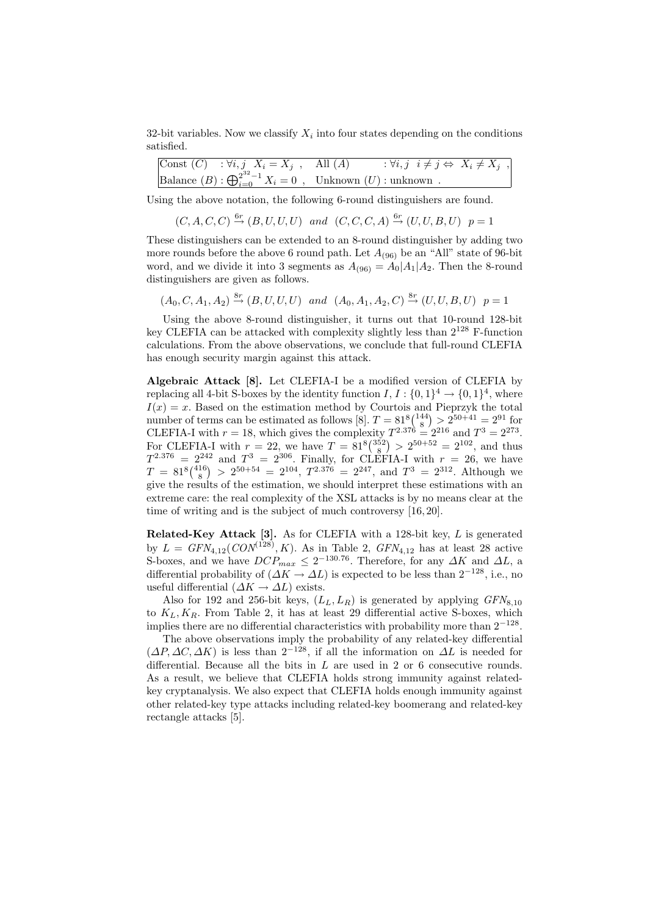32-bit variables. Now we classify  $X_i$  into four states depending on the conditions satisfied.

$$
\begin{array}{ll}\n\text{Const}(C) & : \forall i, j \ X_i = X_j \ , \quad \text{All} \ (A) & : \forall i, j \ i \neq j \Leftrightarrow \ X_i \neq X_j \ , \\
\text{Balance} \ (B) : \bigoplus_{i=0}^{2^{32} - 1} X_i = 0 \ , \quad \text{Unknown} \ (U) : \text{unknown} \ .\n\end{array}
$$

Using the above notation, the following 6-round distinguishers are found.

$$
(C, A, C, C) \stackrel{6r}{\rightarrow} (B, U, U, U)
$$
 and  $(C, C, C, A) \stackrel{6r}{\rightarrow} (U, U, B, U)$   $p = 1$ 

These distinguishers can be extended to an 8-round distinguisher by adding two more rounds before the above 6 round path. Let  $A_{(96)}$  be an "All" state of 96-bit word, and we divide it into 3 segments as  $A_{(96)} = A_0|A_1|A_2$ . Then the 8-round distinguishers are given as follows.

 $(A_0, C, A_1, A_2) \stackrel{\text{8r}}{\rightarrow} (B, U, U, U)$  and  $(A_0, A_1, A_2, C) \stackrel{\text{8r}}{\rightarrow} (U, U, B, U)$   $p = 1$ 

Using the above 8-round distinguisher, it turns out that 10-round 128-bit key CLEFIA can be attacked with complexity slightly less than  $2^{128}$  F-function calculations. From the above observations, we conclude that full-round CLEFIA has enough security margin against this attack.

Algebraic Attack [8]. Let CLEFIA-I be a modified version of CLEFIA by replacing all 4-bit S-boxes by the identity function  $I, I: \{0,1\}^4 \rightarrow \{0,1\}^4$ , where  $I(x) = x$ . Based on the estimation method by Courtois and Pieprzyk the total  $I(x) = x$ . Based on the estimation method by Courtois and<br>number of terms can be estimated as follows [8].  $T = 81\frac{8}{14}$  $\frac{1}{\sqrt{2}}$  $> 2^{50+41} = 2^{91}$  for CLEFIA-I with  $r = 18$ , which gives the complexity  $T^{2.376} = 2^{216}$  and  $T^3 = 2^{273}$ . CLEFIA-I with  $r = 18$ , which gives the complexity<br>For CLEFIA-I with  $r = 22$ , we have  $T = 81<sup>8</sup>(\frac{352}{8})$ ¢  $> 2^{50+52} = 2^{102}$ , and thus  $T^{2.376} = 2^{242}$  and  $T^3 = 2^{306}$ . Finally, for CLEFIA-I with  $r = 26$ , we have  $T = 81^8 \binom{416}{8}$ ¢  $> 2^{50+54} = 2^{104}$ ,  $T^{2.376} = 2^{247}$ , and  $T^3 = 2^{312}$ . Although we give the results of the estimation, we should interpret these estimations with an extreme care: the real complexity of the XSL attacks is by no means clear at the time of writing and is the subject of much controversy [16, 20].

Related-Key Attack  $[3]$ . As for CLEFIA with a 128-bit key,  $L$  is generated by  $L = GFN_{4,12}(CON^{(128)}, K)$ . As in Table 2,  $GFN_{4,12}$  has at least 28 active S-boxes, and we have  $DCP_{max} \leq 2^{-130.76}$ . Therefore, for any  $\Delta K$  and  $\Delta L$ , a differential probability of  $(\Delta K \to \Delta L)$  is expected to be less than  $2^{-128}$ , i.e., no useful differential  $(\Delta K \to \Delta L)$  exists.

Also for 192 and 256-bit keys,  $(L_L, L_R)$  is generated by applying  $GFN_{8,10}$ to  $K_L, K_R$ . From Table 2, it has at least 29 differential active S-boxes, which implies there are no differential characteristics with probability more than  $2^{-128}$ .

The above observations imply the probability of any related-key differential  $(\Delta P, \Delta C, \Delta K)$  is less than  $2^{-128}$ , if all the information on  $\Delta L$  is needed for differential. Because all the bits in  $L$  are used in 2 or 6 consecutive rounds. As a result, we believe that CLEFIA holds strong immunity against relatedkey cryptanalysis. We also expect that CLEFIA holds enough immunity against other related-key type attacks including related-key boomerang and related-key rectangle attacks [5].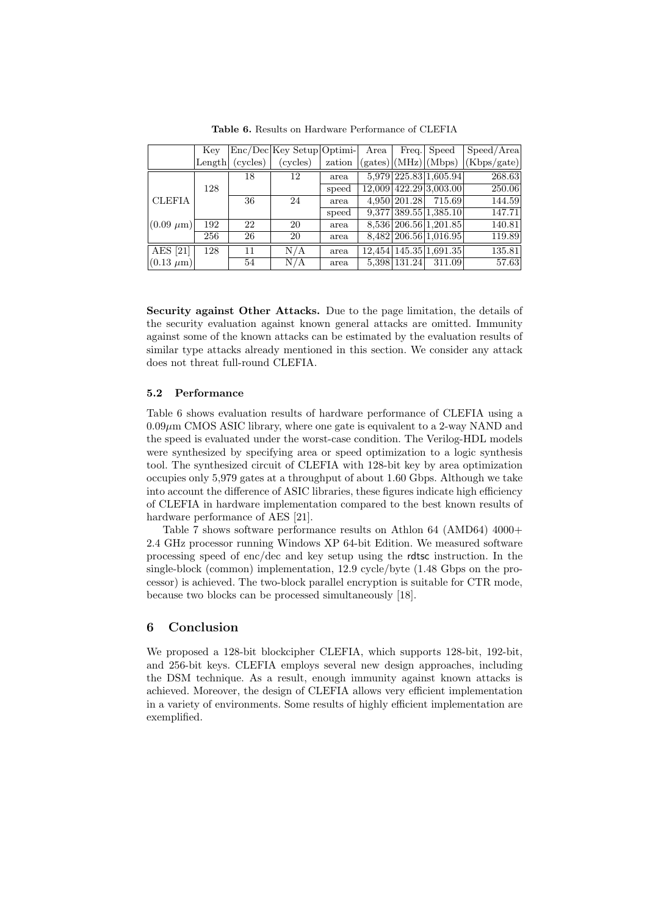|                    | Key    |          | $Enc/Dec Key Setup Optimi- $ |        | Area |              | Freq. Speed                                                   | Speed/Area                             |
|--------------------|--------|----------|------------------------------|--------|------|--------------|---------------------------------------------------------------|----------------------------------------|
|                    | Length | (cycles) | (cycles)                     | zation |      |              |                                                               | $(gates) (MHz) (Mbps)$ $ (Kbps/gate) $ |
|                    |        | 18       | 12                           | area   |      |              | 5,979 225.83 1,605.94                                         | 268.63                                 |
|                    | 128    |          |                              | speed  |      |              | 12,009 422.29 3,003.00                                        | 250.06                                 |
| <b>CLEFIA</b>      |        | 36       | 24                           | area   |      | 4.950 201.28 | 715.69                                                        | 144.59                                 |
|                    |        |          |                              | speed  |      |              | $9,377$   389.55  1,385.10                                    | 147.71                                 |
| $ (0.09 \ \mu m) $ | 192    | 22       | 20                           | area   |      |              | 8,536 206.56 1,201.85                                         | 140.81                                 |
|                    | 256    | 26       | 20                           | area   |      |              | $8,482$ 206.56 1,016.95                                       | 119.89                                 |
| AES $[21]$         | 128    | 11       | N/A                          | area   |      |              | $\overline{12,454}$ $\overline{145.35}$ $\overline{1,691.35}$ | 135.81                                 |
| $(0.13 \mu m)$     |        | 54       | N/A                          | area   |      | 5,398 131.24 | 311.09                                                        | 57.63                                  |

Table 6. Results on Hardware Performance of CLEFIA

Security against Other Attacks. Due to the page limitation, the details of the security evaluation against known general attacks are omitted. Immunity against some of the known attacks can be estimated by the evaluation results of similar type attacks already mentioned in this section. We consider any attack does not threat full-round CLEFIA.

### 5.2 Performance

Table 6 shows evaluation results of hardware performance of CLEFIA using a  $0.09\mu$ m CMOS ASIC library, where one gate is equivalent to a 2-way NAND and the speed is evaluated under the worst-case condition. The Verilog-HDL models were synthesized by specifying area or speed optimization to a logic synthesis tool. The synthesized circuit of CLEFIA with 128-bit key by area optimization occupies only 5,979 gates at a throughput of about 1.60 Gbps. Although we take into account the difference of ASIC libraries, these figures indicate high efficiency of CLEFIA in hardware implementation compared to the best known results of hardware performance of AES [21].

Table 7 shows software performance results on Athlon 64 (AMD64) 4000+ 2.4 GHz processor running Windows XP 64-bit Edition. We measured software processing speed of enc/dec and key setup using the rdtsc instruction. In the single-block (common) implementation, 12.9 cycle/byte (1.48 Gbps on the processor) is achieved. The two-block parallel encryption is suitable for CTR mode, because two blocks can be processed simultaneously [18].

## 6 Conclusion

We proposed a 128-bit blockcipher CLEFIA, which supports 128-bit, 192-bit, and 256-bit keys. CLEFIA employs several new design approaches, including the DSM technique. As a result, enough immunity against known attacks is achieved. Moreover, the design of CLEFIA allows very efficient implementation in a variety of environments. Some results of highly efficient implementation are exemplified.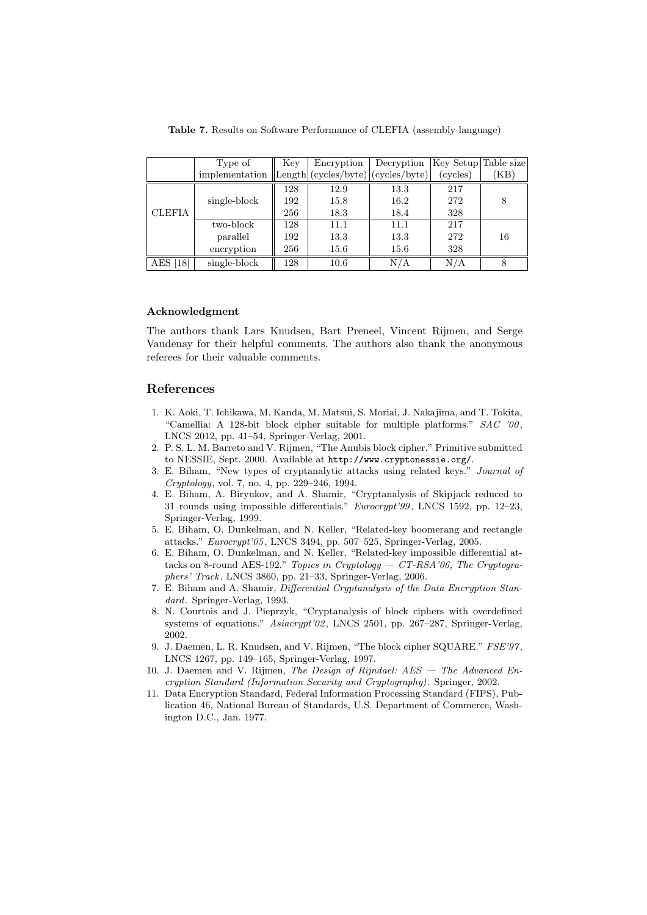|               | Type of        | Key | Encryption                         | Decryption | Key Setup Table size |      |
|---------------|----------------|-----|------------------------------------|------------|----------------------|------|
|               | implementation |     | Length (cycles/byte) (cycles/byte) |            | (cycles)             | (KB) |
|               |                | 128 | 12.9                               | 13.3       | 217                  |      |
|               | single-block   | 192 | 15.8                               | 16.2       | 272                  | 8    |
| <b>CLEFIA</b> |                | 256 | 18.3                               | 18.4       | 328                  |      |
|               | two-block      | 128 | 11.1                               | 11.1       | 217                  |      |
|               | parallel       | 192 | 13.3                               | 13.3       | 272                  | 16   |
|               | encryption     | 256 | 15.6                               | 15.6       | 328                  |      |
| AES [18]      | single-block   | 128 | 10.6                               | N/A        | N/A                  | 8    |

Table 7. Results on Software Performance of CLEFIA (assembly language)

#### Acknowledgment

The authors thank Lars Knudsen, Bart Preneel, Vincent Rijmen, and Serge Vaudenay for their helpful comments. The authors also thank the anonymous referees for their valuable comments.

#### References

- 1. K. Aoki, T. Ichikawa, M. Kanda, M. Matsui, S. Moriai, J. Nakajima, and T. Tokita, "Camellia: A 128-bit block cipher suitable for multiple platforms."  $SAC$  '00, LNCS 2012, pp. 41–54, Springer-Verlag, 2001.
- 2. P. S. L. M. Barreto and V. Rijmen, "The Anubis block cipher." Primitive submitted to NESSIE, Sept. 2000. Available at http://www.cryptonessie.org/.
- 3. E. Biham, "New types of cryptanalytic attacks using related keys." Journal of Cryptology, vol. 7, no. 4, pp. 229–246, 1994.
- 4. E. Biham, A. Biryukov, and A. Shamir, "Cryptanalysis of Skipjack reduced to 31 rounds using impossible differentials." *Eurocrypt'99*, LNCS 1592, pp. 12–23, Springer-Verlag, 1999.
- 5. E. Biham, O. Dunkelman, and N. Keller, "Related-key boomerang and rectangle attacks." Eurocrypt'05 , LNCS 3494, pp. 507–525, Springer-Verlag, 2005.
- 6. E. Biham, O. Dunkelman, and N. Keller, "Related-key impossible differential attacks on 8-round AES-192." Topics in Cryptology — CT-RSA'06, The Cryptographers' Track, LNCS 3860, pp. 21–33, Springer-Verlag, 2006.
- 7. E. Biham and A. Shamir, Differential Cryptanalysis of the Data Encryption Standard. Springer-Verlag, 1993.
- 8. N. Courtois and J. Pieprzyk, "Cryptanalysis of block ciphers with overdefined systems of equations." Asiacrypt'02, LNCS 2501, pp. 267-287, Springer-Verlag, 2002.
- 9. J. Daemen, L. R. Knudsen, and V. Rijmen, "The block cipher SQUARE." FSE'97, LNCS 1267, pp. 149–165, Springer-Verlag, 1997.
- 10. J. Daemen and V. Rijmen, The Design of Rijndael: AES The Advanced Encryption Standard (Information Security and Cryptography). Springer, 2002.
- 11. Data Encryption Standard, Federal Information Processing Standard (FIPS), Publication 46, National Bureau of Standards, U.S. Department of Commerce, Washington D.C., Jan. 1977.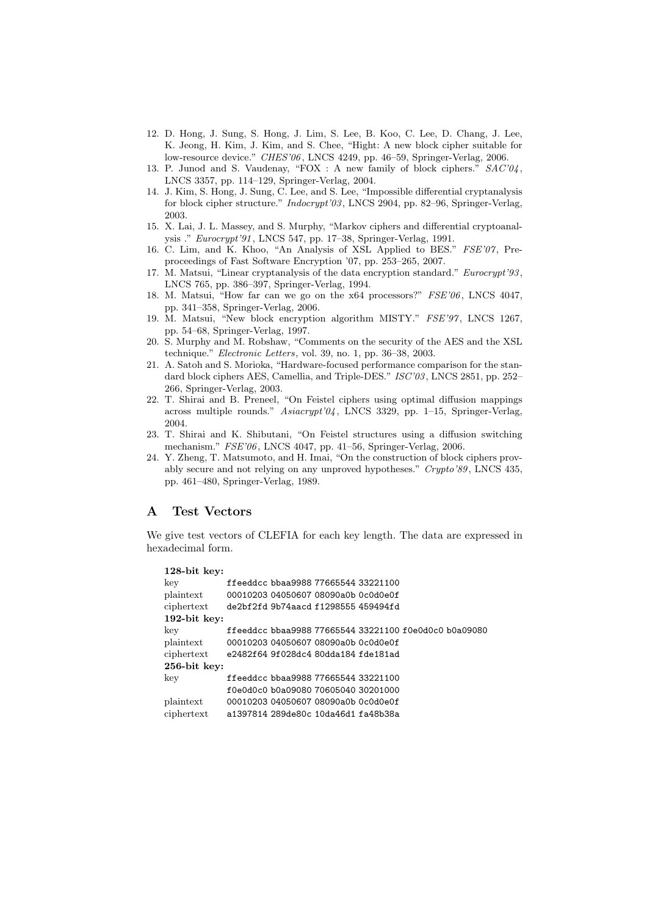- 12. D. Hong, J. Sung, S. Hong, J. Lim, S. Lee, B. Koo, C. Lee, D. Chang, J. Lee, K. Jeong, H. Kim, J. Kim, and S. Chee, "Hight: A new block cipher suitable for low-resource device." CHES'06 , LNCS 4249, pp. 46–59, Springer-Verlag, 2006.
- 13. P. Junod and S. Vaudenay, "FOX : A new family of block ciphers."  $SAC'04$ , LNCS 3357, pp. 114–129, Springer-Verlag, 2004.
- 14. J. Kim, S. Hong, J. Sung, C. Lee, and S. Lee, "Impossible differential cryptanalysis for block cipher structure." Indocrypt'03 , LNCS 2904, pp. 82–96, Springer-Verlag, 2003.
- 15. X. Lai, J. L. Massey, and S. Murphy, "Markov ciphers and differential cryptoanalysis ." Eurocrypt'91 , LNCS 547, pp. 17–38, Springer-Verlag, 1991.
- 16. C. Lim, and K. Khoo, "An Analysis of XSL Applied to BES." FSE'07, Preproceedings of Fast Software Encryption '07, pp. 253–265, 2007.
- 17. M. Matsui, "Linear cryptanalysis of the data encryption standard." Eurocrypt'93 , LNCS 765, pp. 386–397, Springer-Verlag, 1994.
- 18. M. Matsui, "How far can we go on the x64 processors?" FSE'06 , LNCS 4047, pp. 341–358, Springer-Verlag, 2006.
- 19. M. Matsui, "New block encryption algorithm MISTY." FSE'97, LNCS 1267, pp. 54–68, Springer-Verlag, 1997.
- 20. S. Murphy and M. Robshaw, "Comments on the security of the AES and the XSL technique." Electronic Letters, vol. 39, no. 1, pp. 36–38, 2003.
- 21. A. Satoh and S. Morioka, "Hardware-focused performance comparison for the standard block ciphers AES, Camellia, and Triple-DES." ISC'03, LNCS 2851, pp. 252-266, Springer-Verlag, 2003.
- 22. T. Shirai and B. Preneel, "On Feistel ciphers using optimal diffusion mappings across multiple rounds." Asiacrypt'04 , LNCS 3329, pp. 1–15, Springer-Verlag, 2004.
- 23. T. Shirai and K. Shibutani, "On Feistel structures using a diffusion switching mechanism." FSE'06 , LNCS 4047, pp. 41–56, Springer-Verlag, 2006.
- 24. Y. Zheng, T. Matsumoto, and H. Imai, "On the construction of block ciphers provably secure and not relying on any unproved hypotheses." Crypto'89 , LNCS 435, pp. 461–480, Springer-Verlag, 1989.

## A Test Vectors

We give test vectors of CLEFIA for each key length. The data are expressed in hexadecimal form.

```
128-bit key:
key ffeeddcc bbaa9988 77665544 33221100
plaintext 00010203 04050607 08090a0b 0c0d0e0f
ciphertext de2bf2fd 9b74aacd f1298555 459494fd
192-bit key:
key ffeeddcc bbaa9988 77665544 33221100 f0e0d0c0 b0a09080
plaintext 00010203 04050607 08090a0b 0c0d0e0f
ciphertext e2482f64 9f028dc4 80dda184 fde181ad
256-bit key:
key ffeeddcc bbaa9988 77665544 33221100
           f0e0d0c0 b0a09080 70605040 30201000
plaintext 00010203 04050607 08090a0b 0c0d0e0f
ciphertext a1397814 289de80c 10da46d1 fa48b38a
```